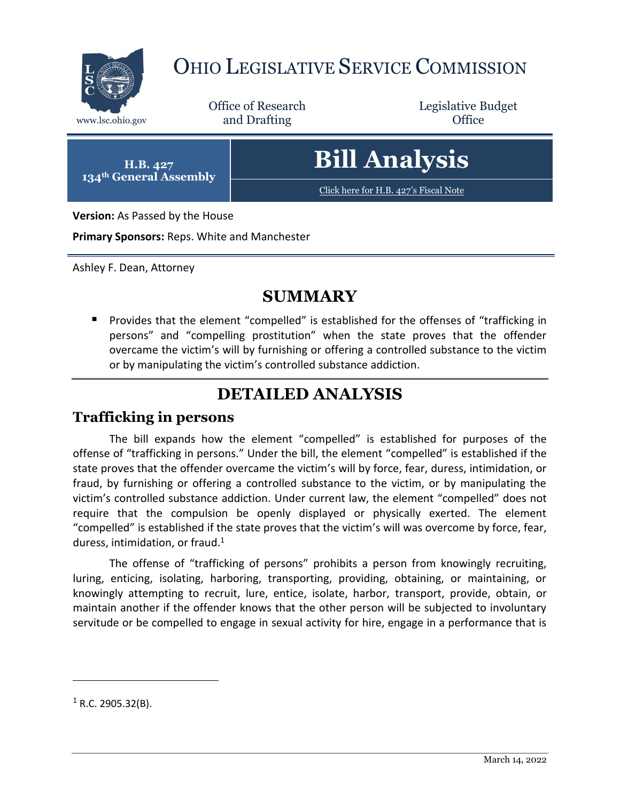

## OHIO LEGISLATIVE SERVICE COMMISSION

Office of Research www.lsc.ohio.gov **and Drafting Office** 

Legislative Budget

**H.B. 427 134th General Assembly**

# **Bill Analysis**

[Click here for H.B. 427](https://www.legislature.ohio.gov/legislation/legislation-documents?id=GA134-HB-427)'s Fiscal Note

**Version:** As Passed by the House

**Primary Sponsors:** Reps. White and Manchester

Ashley F. Dean, Attorney

### **SUMMARY**

**Provides that the element "compelled" is established for the offenses of "trafficking in** persons" and "compelling prostitution" when the state proves that the offender overcame the victim's will by furnishing or offering a controlled substance to the victim or by manipulating the victim's controlled substance addiction.

## **DETAILED ANALYSIS**

#### **Trafficking in persons**

The bill expands how the element "compelled" is established for purposes of the offense of "trafficking in persons." Under the bill, the element "compelled" is established if the state proves that the offender overcame the victim's will by force, fear, duress, intimidation, or fraud, by furnishing or offering a controlled substance to the victim, or by manipulating the victim's controlled substance addiction. Under current law, the element "compelled" does not require that the compulsion be openly displayed or physically exerted. The element "compelled" is established if the state proves that the victim's will was overcome by force, fear, duress, intimidation, or fraud.<sup>1</sup>

The offense of "trafficking of persons" prohibits a person from knowingly recruiting, luring, enticing, isolating, harboring, transporting, providing, obtaining, or maintaining, or knowingly attempting to recruit, lure, entice, isolate, harbor, transport, provide, obtain, or maintain another if the offender knows that the other person will be subjected to involuntary servitude or be compelled to engage in sexual activity for hire, engage in a performance that is

 $\overline{a}$ 

 $1$  R.C. 2905.32(B).